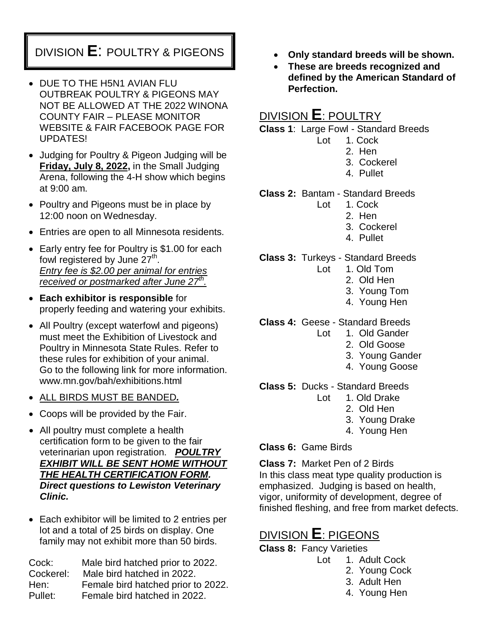# DIVISION **E**: POULTRY & PIGEONS

- DUE TO THE H5N1 AVIAN FLU OUTBREAK POULTRY & PIGEONS MAY NOT BE ALLOWED AT THE 2022 WINONA COUNTY FAIR – PLEASE MONITOR WEBSITE & FAIR FACEBOOK PAGE FOR UPDATES!
- Judging for Poultry & Pigeon Judging will be **Friday, July 8, 2022,** in the Small Judging Arena, following the 4-H show which begins at 9:00 am.
- Poultry and Pigeons must be in place by 12:00 noon on Wednesday.
- Entries are open to all Minnesota residents.
- Early entry fee for Poultry is \$1.00 for each fowl registered by June  $27^{\text{th}}$ . *Entry fee is \$2.00 per animal for entries received or postmarked after June 27th .*
- **Each exhibitor is responsible** for properly feeding and watering your exhibits.
- All Poultry (except waterfowl and pigeons) must meet the Exhibition of Livestock and Poultry in Minnesota State Rules. Refer to these rules for exhibition of your animal. Go to the following link for more information. www.mn.gov/bah/exhibitions.html
- ALL BIRDS MUST BE BANDED*.*
- Coops will be provided by the Fair.
- All poultry must complete a health certification form to be given to the fair veterinarian upon registration. *POULTRY EXHIBIT WILL BE SENT HOME WITHOUT THE HEALTH CERTIFICATION FORM. Direct questions to Lewiston Veterinary Clinic.*
- Each exhibitor will be limited to 2 entries per lot and a total of 25 birds on display. One family may not exhibit more than 50 birds.

Cock: Male bird hatched prior to 2022. Cockerel: Male bird hatched in 2022. Hen: Female bird hatched prior to 2022. Pullet: Female bird hatched in 2022.

- **Only standard breeds will be shown.**
- **These are breeds recognized and defined by the American Standard of Perfection.**

## DIVISION **E**: POULTRY

**Class 1**: Large Fowl - Standard Breeds

- Lot 1. Cock
	- 2. Hen
	- 3. Cockerel
	- 4. Pullet
- **Class 2:** Bantam Standard Breeds
	- Lot 1. Cock
		- 2. Hen
		- 3. Cockerel
		- 4. Pullet

**Class 3:** Turkeys - Standard Breeds

- Lot 1. Old Tom
	- 2. Old Hen
	- 3. Young Tom
	- 4. Young Hen
- **Class 4:** Geese Standard Breeds
	- Lot 1. Old Gander
		- 2. Old Goose
		- 3. Young Gander
		- 4. Young Goose

**Class 5:** Ducks - Standard Breeds

- Lot 1. Old Drake
	- 2. Old Hen
	- 3. Young Drake
	- 4. Young Hen

**Class 6:** Game Birds

**Class 7:** Market Pen of 2 Birds In this class meat type quality production is emphasized. Judging is based on health, vigor, uniformity of development, degree of finished fleshing, and free from market defects.

### DIVISION **E**: PIGEONS

**Class 8:** Fancy Varieties

- Lot 1. Adult Cock
	- 2. Young Cock
	- 3. Adult Hen
	- 4. Young Hen